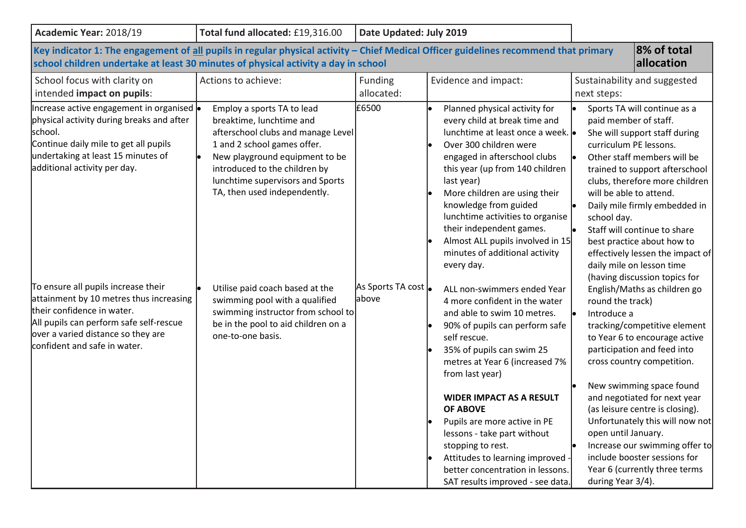| Academic Year: 2018/19                                                                                                                                                                                                                                                                                                                                                       | Total fund allocated: £19,316.00                                                                                                                                                                                                                                                                                                                                                                                                   | Date Updated: July 2019                                                                                                                                                                                                                                                                                                                                                                                                                                                                                     |                                                                                                                                                                                                                                                                                                                                                                                                                                                                                                                                   |                                                                                                                                                                                                                                                                                                                                                                                                             |  |
|------------------------------------------------------------------------------------------------------------------------------------------------------------------------------------------------------------------------------------------------------------------------------------------------------------------------------------------------------------------------------|------------------------------------------------------------------------------------------------------------------------------------------------------------------------------------------------------------------------------------------------------------------------------------------------------------------------------------------------------------------------------------------------------------------------------------|-------------------------------------------------------------------------------------------------------------------------------------------------------------------------------------------------------------------------------------------------------------------------------------------------------------------------------------------------------------------------------------------------------------------------------------------------------------------------------------------------------------|-----------------------------------------------------------------------------------------------------------------------------------------------------------------------------------------------------------------------------------------------------------------------------------------------------------------------------------------------------------------------------------------------------------------------------------------------------------------------------------------------------------------------------------|-------------------------------------------------------------------------------------------------------------------------------------------------------------------------------------------------------------------------------------------------------------------------------------------------------------------------------------------------------------------------------------------------------------|--|
| 8% of total<br>Key indicator 1: The engagement of all pupils in regular physical activity - Chief Medical Officer guidelines recommend that primary<br>allocation<br>school children undertake at least 30 minutes of physical activity a day in school                                                                                                                      |                                                                                                                                                                                                                                                                                                                                                                                                                                    |                                                                                                                                                                                                                                                                                                                                                                                                                                                                                                             |                                                                                                                                                                                                                                                                                                                                                                                                                                                                                                                                   |                                                                                                                                                                                                                                                                                                                                                                                                             |  |
| School focus with clarity on<br>intended impact on pupils:                                                                                                                                                                                                                                                                                                                   | Actions to achieve:                                                                                                                                                                                                                                                                                                                                                                                                                | <b>Funding</b><br>allocated:                                                                                                                                                                                                                                                                                                                                                                                                                                                                                | Evidence and impact:                                                                                                                                                                                                                                                                                                                                                                                                                                                                                                              | Sustainability and suggested<br>next steps:                                                                                                                                                                                                                                                                                                                                                                 |  |
| Increase active engagement in organised  •<br>physical activity during breaks and after<br>school.<br>Continue daily mile to get all pupils<br>undertaking at least 15 minutes of<br>additional activity per day.<br>To ensure all pupils increase their<br>attainment by 10 metres thus increasing<br>their confidence in water.<br>All pupils can perform safe self-rescue | £6500<br>Employ a sports TA to lead<br>breaktime, lunchtime and<br>afterschool clubs and manage Level<br>1 and 2 school games offer.<br>New playground equipment to be<br>introduced to the children by<br>lunchtime supervisors and Sports<br>last year)<br>TA, then used independently.<br>As Sports TA cost<br>Utilise paid coach based at the<br>above<br>swimming pool with a qualified<br>swimming instructor from school to | Planned physical activity for<br>every child at break time and<br>lunchtime at least once a week.<br>Over 300 children were<br>engaged in afterschool clubs<br>this year (up from 140 children<br>More children are using their<br>knowledge from guided<br>lunchtime activities to organise<br>their independent games.<br>Almost ALL pupils involved in 15<br>minutes of additional activity<br>every day.<br>ALL non-swimmers ended Year<br>4 more confident in the water<br>and able to swim 10 metres. | Sports TA will continue as a<br>paid member of staff.<br>She will support staff during<br>curriculum PE lessons.<br>Other staff members will be<br>trained to support afterschool<br>clubs, therefore more children<br>will be able to attend.<br>Daily mile firmly embedded in<br>school day.<br>Staff will continue to share<br>best practice about how to<br>effectively lessen the impact of<br>daily mile on lesson time<br>(having discussion topics for<br>English/Maths as children go<br>round the track)<br>Introduce a |                                                                                                                                                                                                                                                                                                                                                                                                             |  |
| over a varied distance so they are<br>confident and safe in water.                                                                                                                                                                                                                                                                                                           | be in the pool to aid children on a<br>one-to-one basis.                                                                                                                                                                                                                                                                                                                                                                           |                                                                                                                                                                                                                                                                                                                                                                                                                                                                                                             | 90% of pupils can perform safe<br>self rescue.<br>35% of pupils can swim 25<br>metres at Year 6 (increased 7%<br>from last year)<br><b>WIDER IMPACT AS A RESULT</b><br><b>OF ABOVE</b><br>Pupils are more active in PE<br>lessons - take part without<br>stopping to rest.<br>Attitudes to learning improved -<br>better concentration in lessons.<br>SAT results improved - see data.                                                                                                                                            | tracking/competitive element<br>to Year 6 to encourage active<br>participation and feed into<br>cross country competition.<br>New swimming space found<br>and negotiated for next year<br>(as leisure centre is closing).<br>Unfortunately this will now not<br>open until January.<br>Increase our swimming offer to<br>include booster sessions for<br>Year 6 (currently three terms<br>during Year 3/4). |  |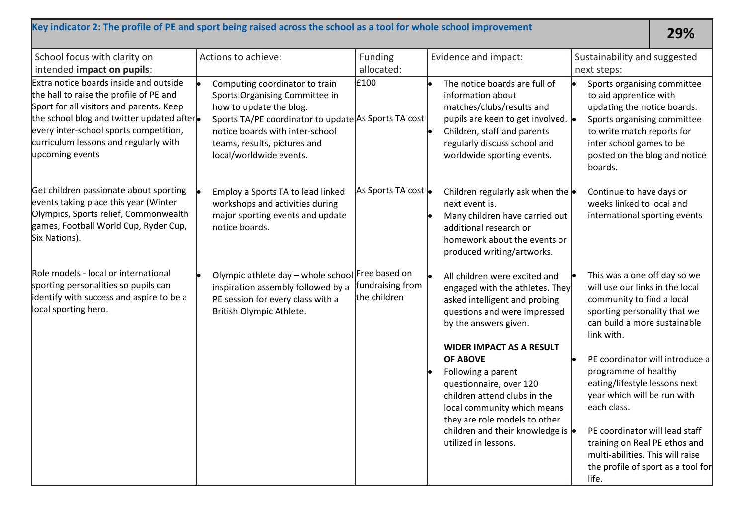## **Key indicator 2: The profile of PE and sport being raised across the school as a tool for whole school improvement 29%**

| School focus with clarity on<br>intended impact on pupils:                                                                                                                                                                                                                        | Actions to achieve:                                                                                                                                                                                                                               | Funding<br>allocated:                             | Evidence and impact:                                                                                                                                                                                                                                                                                                                                                                                                            | Sustainability and suggested<br>next steps:                                                                                                                                                                                                                                                                                                                                                                                                                                |
|-----------------------------------------------------------------------------------------------------------------------------------------------------------------------------------------------------------------------------------------------------------------------------------|---------------------------------------------------------------------------------------------------------------------------------------------------------------------------------------------------------------------------------------------------|---------------------------------------------------|---------------------------------------------------------------------------------------------------------------------------------------------------------------------------------------------------------------------------------------------------------------------------------------------------------------------------------------------------------------------------------------------------------------------------------|----------------------------------------------------------------------------------------------------------------------------------------------------------------------------------------------------------------------------------------------------------------------------------------------------------------------------------------------------------------------------------------------------------------------------------------------------------------------------|
| Extra notice boards inside and outside<br>the hall to raise the profile of PE and<br>Sport for all visitors and parents. Keep<br>the school blog and twitter updated after.<br>every inter-school sports competition,<br>curriculum lessons and regularly with<br>upcoming events | Computing coordinator to train<br>Sports Organising Committee in<br>how to update the blog.<br>Sports TA/PE coordinator to update As Sports TA cost<br>notice boards with inter-school<br>teams, results, pictures and<br>local/worldwide events. | £100                                              | The notice boards are full of<br>information about<br>matches/clubs/results and<br>pupils are keen to get involved.<br>Children, staff and parents<br>regularly discuss school and<br>worldwide sporting events.                                                                                                                                                                                                                | Sports organising committee<br>to aid apprentice with<br>updating the notice boards.<br>Sports organising committee<br>to write match reports for<br>inter school games to be<br>posted on the blog and notice<br>boards.                                                                                                                                                                                                                                                  |
| Get children passionate about sporting<br>events taking place this year (Winter<br>Olympics, Sports relief, Commonwealth<br>games, Football World Cup, Ryder Cup,<br>Six Nations).                                                                                                | Employ a Sports TA to lead linked<br>workshops and activities during<br>major sporting events and update<br>notice boards.                                                                                                                        | As Sports TA cost  .                              | Children regularly ask when the $\bullet$<br>next event is.<br>Many children have carried out<br>additional research or<br>homework about the events or<br>produced writing/artworks.                                                                                                                                                                                                                                           | Continue to have days or<br>weeks linked to local and<br>international sporting events                                                                                                                                                                                                                                                                                                                                                                                     |
| Role models - local or international<br>sporting personalities so pupils can<br>identify with success and aspire to be a<br>local sporting hero.                                                                                                                                  | Olympic athlete day - whole school<br>inspiration assembly followed by a<br>PE session for every class with a<br>British Olympic Athlete.                                                                                                         | Free based on<br>fundraising from<br>the children | All children were excited and<br>engaged with the athletes. They<br>asked intelligent and probing<br>questions and were impressed<br>by the answers given.<br><b>WIDER IMPACT AS A RESULT</b><br><b>OF ABOVE</b><br>Following a parent<br>questionnaire, over 120<br>children attend clubs in the<br>local community which means<br>they are role models to other<br>children and their knowledge is  .<br>utilized in lessons. | This was a one off day so we<br>will use our links in the local<br>community to find a local<br>sporting personality that we<br>can build a more sustainable<br>link with.<br>PE coordinator will introduce a<br>programme of healthy<br>eating/lifestyle lessons next<br>year which will be run with<br>each class.<br>PE coordinator will lead staff<br>training on Real PE ethos and<br>multi-abilities. This will raise<br>the profile of sport as a tool for<br>life. |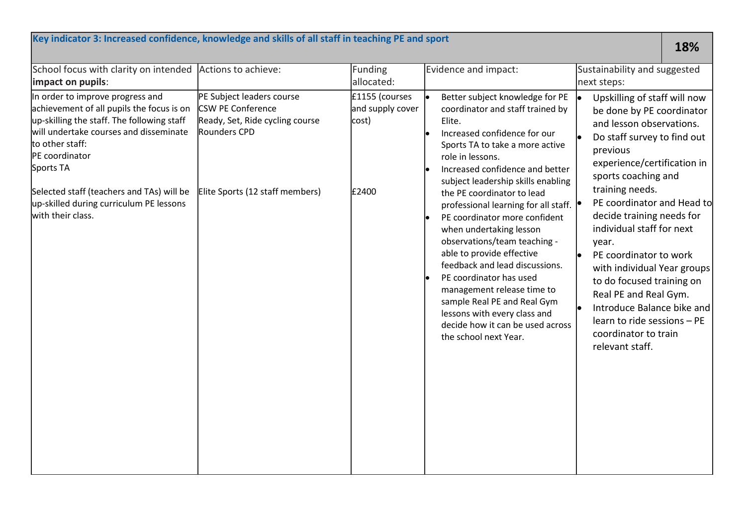| Key indicator 3: Increased confidence, knowledge and skills of all staff in teaching PE and sport                                                                                                                                                                                                                                    |                                                                                                                                             |                                                      |                                                                                                                                                                                                                                                                                                                                                                                                                                                                                                                                                                                                                                                                                   | 18%                                                                                                                                                                                                                                                                                                                                                                                                                                                                                                                               |  |
|--------------------------------------------------------------------------------------------------------------------------------------------------------------------------------------------------------------------------------------------------------------------------------------------------------------------------------------|---------------------------------------------------------------------------------------------------------------------------------------------|------------------------------------------------------|-----------------------------------------------------------------------------------------------------------------------------------------------------------------------------------------------------------------------------------------------------------------------------------------------------------------------------------------------------------------------------------------------------------------------------------------------------------------------------------------------------------------------------------------------------------------------------------------------------------------------------------------------------------------------------------|-----------------------------------------------------------------------------------------------------------------------------------------------------------------------------------------------------------------------------------------------------------------------------------------------------------------------------------------------------------------------------------------------------------------------------------------------------------------------------------------------------------------------------------|--|
| School focus with clarity on intended<br>impact on pupils:                                                                                                                                                                                                                                                                           | Actions to achieve:                                                                                                                         | <b>Funding</b><br>allocated:                         | Evidence and impact:                                                                                                                                                                                                                                                                                                                                                                                                                                                                                                                                                                                                                                                              | Sustainability and suggested<br>next steps:                                                                                                                                                                                                                                                                                                                                                                                                                                                                                       |  |
| In order to improve progress and<br>achievement of all pupils the focus is on<br>up-skilling the staff. The following staff<br>will undertake courses and disseminate<br>to other staff:<br>PE coordinator<br>Sports TA<br>Selected staff (teachers and TAs) will be<br>up-skilled during curriculum PE lessons<br>with their class. | PE Subject leaders course<br><b>CSW PE Conference</b><br>Ready, Set, Ride cycling course<br>Rounders CPD<br>Elite Sports (12 staff members) | £1155 (courses<br>and supply cover<br>cost)<br>£2400 | Better subject knowledge for PE<br>coordinator and staff trained by<br>Elite.<br>Increased confidence for our<br>Sports TA to take a more active<br>role in lessons.<br>Increased confidence and better<br>subject leadership skills enabling<br>the PE coordinator to lead<br>professional learning for all staff. $  \bullet  $<br>PE coordinator more confident<br>when undertaking lesson<br>observations/team teaching -<br>able to provide effective<br>feedback and lead discussions.<br>PE coordinator has used<br>management release time to<br>sample Real PE and Real Gym<br>lessons with every class and<br>decide how it can be used across<br>the school next Year. | Upskilling of staff will now<br>be done by PE coordinator<br>and lesson observations.<br>Do staff survey to find out<br>previous<br>experience/certification in<br>sports coaching and<br>training needs.<br>PE coordinator and Head to<br>decide training needs for<br>individual staff for next<br>year.<br>PE coordinator to work<br>with individual Year groups<br>to do focused training on<br>Real PE and Real Gym.<br>Introduce Balance bike and<br>learn to ride sessions - PE<br>coordinator to train<br>relevant staff. |  |
|                                                                                                                                                                                                                                                                                                                                      |                                                                                                                                             |                                                      |                                                                                                                                                                                                                                                                                                                                                                                                                                                                                                                                                                                                                                                                                   |                                                                                                                                                                                                                                                                                                                                                                                                                                                                                                                                   |  |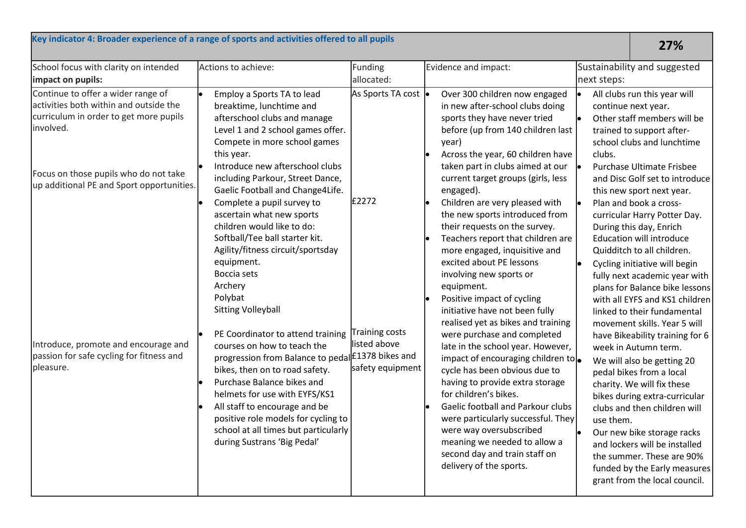| Key indicator 4: Broader experience of a range of sports and activities offered to all pupils                                                                                                                             |                                                                                                                                                                                                                                                                                                                                                                                                                                                                                                                                                                                         |                                                   |                                                                                                                                                                                                                                                                                                                                                                                                                                                                                                                                                                                                                                                                                                                                    |             | 27%                                                                                                                                                                                                                                                                                                                                                                                                                                                                                                                                                                                                                                                                                                            |
|---------------------------------------------------------------------------------------------------------------------------------------------------------------------------------------------------------------------------|-----------------------------------------------------------------------------------------------------------------------------------------------------------------------------------------------------------------------------------------------------------------------------------------------------------------------------------------------------------------------------------------------------------------------------------------------------------------------------------------------------------------------------------------------------------------------------------------|---------------------------------------------------|------------------------------------------------------------------------------------------------------------------------------------------------------------------------------------------------------------------------------------------------------------------------------------------------------------------------------------------------------------------------------------------------------------------------------------------------------------------------------------------------------------------------------------------------------------------------------------------------------------------------------------------------------------------------------------------------------------------------------------|-------------|----------------------------------------------------------------------------------------------------------------------------------------------------------------------------------------------------------------------------------------------------------------------------------------------------------------------------------------------------------------------------------------------------------------------------------------------------------------------------------------------------------------------------------------------------------------------------------------------------------------------------------------------------------------------------------------------------------------|
| School focus with clarity on intended<br>impact on pupils:                                                                                                                                                                | Actions to achieve:                                                                                                                                                                                                                                                                                                                                                                                                                                                                                                                                                                     | Funding<br>allocated:                             | Evidence and impact:                                                                                                                                                                                                                                                                                                                                                                                                                                                                                                                                                                                                                                                                                                               | next steps: | Sustainability and suggested                                                                                                                                                                                                                                                                                                                                                                                                                                                                                                                                                                                                                                                                                   |
| Continue to offer a wider range of<br>activities both within and outside the<br>curriculum in order to get more pupils<br>involved.<br>Focus on those pupils who do not take<br>up additional PE and Sport opportunities. | Employ a Sports TA to lead<br>breaktime, lunchtime and<br>afterschool clubs and manage<br>Level 1 and 2 school games offer.<br>Compete in more school games<br>this year.<br>Introduce new afterschool clubs<br>including Parkour, Street Dance,<br>Gaelic Football and Change4Life.<br>Complete a pupil survey to                                                                                                                                                                                                                                                                      | As Sports TA cost  .<br>£2272                     | Over 300 children now engaged<br>in new after-school clubs doing<br>sports they have never tried<br>before (up from 140 children last<br>year)<br>Across the year, 60 children have<br>taken part in clubs aimed at our<br>current target groups (girls, less<br>engaged).<br>Children are very pleased with                                                                                                                                                                                                                                                                                                                                                                                                                       | clubs.      | All clubs run this year will<br>continue next year.<br>Other staff members will be<br>trained to support after-<br>school clubs and lunchtime<br>Purchase Ultimate Frisbee<br>and Disc Golf set to introduce<br>this new sport next year.<br>Plan and book a cross-                                                                                                                                                                                                                                                                                                                                                                                                                                            |
| Introduce, promote and encourage and<br>passion for safe cycling for fitness and<br>pleasure.                                                                                                                             | ascertain what new sports<br>children would like to do:<br>Softball/Tee ball starter kit.<br>Agility/fitness circuit/sportsday<br>equipment.<br>Boccia sets<br>Archery<br>Polybat<br><b>Sitting Volleyball</b><br>PE Coordinator to attend training<br>courses on how to teach the<br>progression from Balance to pedal £1378 bikes and<br>bikes, then on to road safety.<br>Purchase Balance bikes and<br>helmets for use with EYFS/KS1<br>All staff to encourage and be<br>positive role models for cycling to<br>school at all times but particularly<br>during Sustrans 'Big Pedal' | raining costs<br>listed above<br>safety equipment | the new sports introduced from<br>their requests on the survey.<br>Teachers report that children are<br>more engaged, inquisitive and<br>excited about PE lessons<br>involving new sports or<br>equipment.<br>Positive impact of cycling<br>initiative have not been fully<br>realised yet as bikes and training<br>were purchase and completed<br>late in the school year. However,<br>impact of encouraging children to $\bullet$<br>cycle has been obvious due to<br>having to provide extra storage<br>for children's bikes.<br>Gaelic football and Parkour clubs<br>were particularly successful. They<br>were way oversubscribed<br>meaning we needed to allow a<br>second day and train staff on<br>delivery of the sports. | use them.   | curricular Harry Potter Day.<br>During this day, Enrich<br><b>Education will introduce</b><br>Quidditch to all children.<br>Cycling initiative will begin<br>fully next academic year with<br>plans for Balance bike lessons<br>with all EYFS and KS1 children<br>linked to their fundamental<br>movement skills. Year 5 will<br>have Bikeability training for 6<br>week in Autumn term.<br>We will also be getting 20<br>pedal bikes from a local<br>charity. We will fix these<br>bikes during extra-curricular<br>clubs and then children will<br>Our new bike storage racks<br>and lockers will be installed<br>the summer. These are 90%<br>funded by the Early measures<br>grant from the local council. |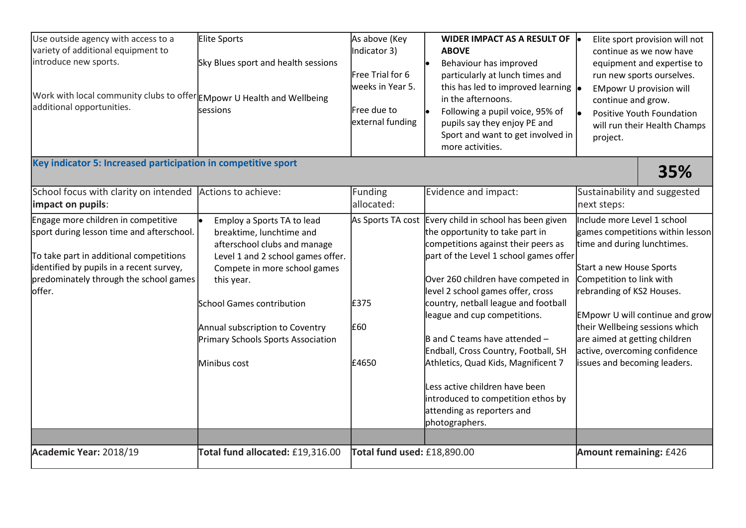| Use outside agency with access to a<br>variety of additional equipment to<br>introduce new sports.<br>Work with local community clubs to offer EMpowr U Health and Wellbeing<br>additional opportunities.<br>Key indicator 5: Increased participation in competitive sport | Elite Sports<br>Sky Blues sport and health sessions<br>sessions                                                                                                                                                                                                                                 | As above (Key<br>Indicator 3)<br>Free Trial for 6<br>weeks in Year 5.<br>Free due to<br>external funding | WIDER IMPACT AS A RESULT OF  .<br><b>ABOVE</b><br>Behaviour has improved<br>particularly at lunch times and<br>this has led to improved learning $\vert_{\bullet}$<br>in the afternoons.<br>Following a pupil voice, 95% of<br>pupils say they enjoy PE and<br>Sport and want to get involved in<br>more activities.                                                                                                                                                                                                                                                          | Elite sport provision will not<br>continue as we now have<br>equipment and expertise to<br>run new sports ourselves.<br><b>EMpowr U provision will</b><br>continue and grow.<br>Positive Youth Foundation<br>will run their Health Champs<br>project.<br>35%                                                                                                      |
|----------------------------------------------------------------------------------------------------------------------------------------------------------------------------------------------------------------------------------------------------------------------------|-------------------------------------------------------------------------------------------------------------------------------------------------------------------------------------------------------------------------------------------------------------------------------------------------|----------------------------------------------------------------------------------------------------------|-------------------------------------------------------------------------------------------------------------------------------------------------------------------------------------------------------------------------------------------------------------------------------------------------------------------------------------------------------------------------------------------------------------------------------------------------------------------------------------------------------------------------------------------------------------------------------|-------------------------------------------------------------------------------------------------------------------------------------------------------------------------------------------------------------------------------------------------------------------------------------------------------------------------------------------------------------------|
| School focus with clarity on intended<br>impact on pupils:                                                                                                                                                                                                                 | Actions to achieve:                                                                                                                                                                                                                                                                             | Funding<br>allocated:                                                                                    | Evidence and impact:                                                                                                                                                                                                                                                                                                                                                                                                                                                                                                                                                          | Sustainability and suggested<br>next steps:                                                                                                                                                                                                                                                                                                                       |
| Engage more children in competitive<br>sport during lesson time and afterschool.<br>To take part in additional competitions<br>identified by pupils in a recent survey,<br>predominately through the school games<br>offer.                                                | Employ a Sports TA to lead<br>breaktime, lunchtime and<br>afterschool clubs and manage<br>Level 1 and 2 school games offer.<br>Compete in more school games<br>this year.<br>School Games contribution<br>Annual subscription to Coventry<br>Primary Schools Sports Association<br>Minibus cost | £375<br>£60<br>£4650                                                                                     | As Sports TA cost Every child in school has been given<br>the opportunity to take part in<br>competitions against their peers as<br>part of the Level 1 school games offer<br>Over 260 children have competed in<br>level 2 school games offer, cross<br>country, netball league and football<br>league and cup competitions.<br>$\vert$ B and C teams have attended -<br>Endball, Cross Country, Football, SH<br>Athletics, Quad Kids, Magnificent 7<br>Less active children have been<br>introduced to competition ethos by<br>attending as reporters and<br>photographers. | Include more Level 1 school<br>games competitions within lesson<br>time and during lunchtimes.<br>Start a new House Sports<br>Competition to link with<br>rebranding of KS2 Houses.<br><b>EMpowr U will continue and grow</b><br>their Wellbeing sessions which<br>are aimed at getting children<br>active, overcoming confidence<br>issues and becoming leaders. |
| Academic Year: 2018/19                                                                                                                                                                                                                                                     | Total fund allocated: £19,316.00                                                                                                                                                                                                                                                                | Total fund used: £18,890.00                                                                              |                                                                                                                                                                                                                                                                                                                                                                                                                                                                                                                                                                               | Amount remaining: £426                                                                                                                                                                                                                                                                                                                                            |